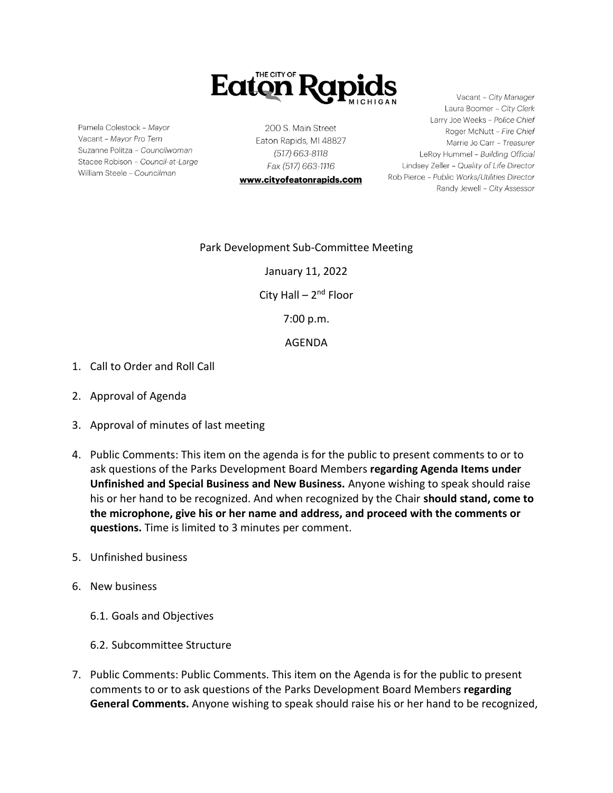

Pamela Colestock - Mayor Vacant - Mayor Pro Tem Suzanne Politza - Councilwoman Stacee Robison - Council-at-Large William Steele - Councilman

200 S. Main Street Eaton Rapids, MI 48827 (517) 663-8118 Fax (517) 663-1116

www.cityofeatonrapids.com

Vacant - City Manager Laura Boomer - City Clerk Larry Joe Weeks - Police Chief Roger McNutt - Fire Chief Marrie Jo Carr - Treasurer LeRoy Hummel - Building Official Lindsey Zeller - Quality of Life Director Rob Pierce - Public Works/Utilities Director Randy Jewell - City Assessor

## Park Development Sub-Committee Meeting

January 11, 2022

City Hall – 2<sup>nd</sup> Floor

7:00 p.m.

## AGENDA

- 1. Call to Order and Roll Call
- 2. Approval of Agenda
- 3. Approval of minutes of last meeting
- 4. Public Comments: This item on the agenda is for the public to present comments to or to ask questions of the Parks Development Board Members **regarding Agenda Items under Unfinished and Special Business and New Business.** Anyone wishing to speak should raise his or her hand to be recognized. And when recognized by the Chair **should stand, come to the microphone, give his or her name and address, and proceed with the comments or questions.** Time is limited to 3 minutes per comment.
- 5. Unfinished business
- 6. New business
	- 6.1. Goals and Objectives
	- 6.2. Subcommittee Structure
- 7. Public Comments: Public Comments. This item on the Agenda is for the public to present comments to or to ask questions of the Parks Development Board Members **regarding General Comments.** Anyone wishing to speak should raise his or her hand to be recognized,